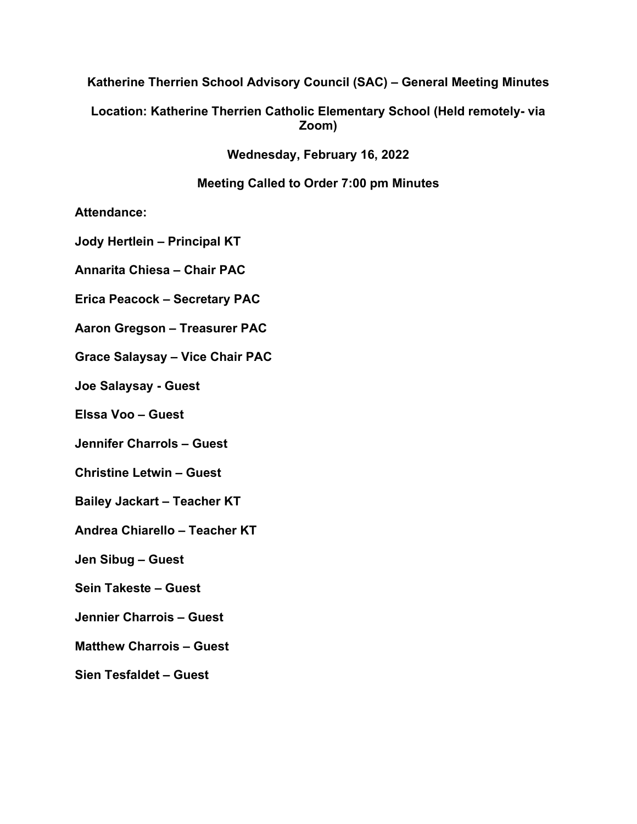### **Katherine Therrien School Advisory Council (SAC) – General Meeting Minutes**

# **Location: Katherine Therrien Catholic Elementary School (Held remotely- via Zoom)**

**Wednesday, February 16, 2022**

# **Meeting Called to Order 7:00 pm Minutes**

**Attendance:** 

**Jody Hertlein – Principal KT**

**Annarita Chiesa – Chair PAC**

**Erica Peacock – Secretary PAC**

**Aaron Gregson – Treasurer PAC**

**Grace Salaysay – Vice Chair PAC**

**Joe Salaysay - Guest**

**Elssa Voo – Guest**

**Jennifer Charrols – Guest**

**Christine Letwin – Guest**

**Bailey Jackart – Teacher KT**

**Andrea Chiarello – Teacher KT**

**Jen Sibug – Guest**

**Sein Takeste – Guest**

**Jennier Charrois – Guest**

**Matthew Charrois – Guest**

**Sien Tesfaldet – Guest**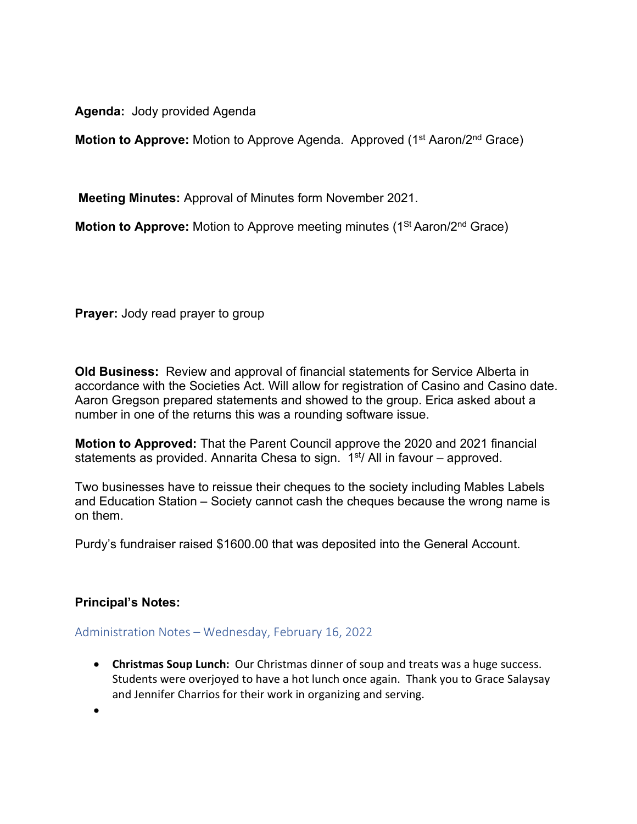**Agenda:** Jody provided Agenda

**Motion to Approve:** Motion to Approve Agenda. Approved (1<sup>st</sup> Aaron/2<sup>nd</sup> Grace)

**Meeting Minutes:** Approval of Minutes form November 2021.

**Motion to Approve:** Motion to Approve meeting minutes (1<sup>St</sup> Aaron/2<sup>nd</sup> Grace)

**Prayer:** Jody read prayer to group

**Old Business:** Review and approval of financial statements for Service Alberta in accordance with the Societies Act. Will allow for registration of Casino and Casino date. Aaron Gregson prepared statements and showed to the group. Erica asked about a number in one of the returns this was a rounding software issue.

**Motion to Approved:** That the Parent Council approve the 2020 and 2021 financial statements as provided. Annarita Chesa to sign.  $1<sup>st</sup>/$  All in favour – approved.

Two businesses have to reissue their cheques to the society including Mables Labels and Education Station – Society cannot cash the cheques because the wrong name is on them.

Purdy's fundraiser raised \$1600.00 that was deposited into the General Account.

# **Principal's Notes:**

#### Administration Notes – Wednesday, February 16, 2022

• **Christmas Soup Lunch:** Our Christmas dinner of soup and treats was a huge success. Students were overjoyed to have a hot lunch once again. Thank you to Grace Salaysay and Jennifer Charrios for their work in organizing and serving.

•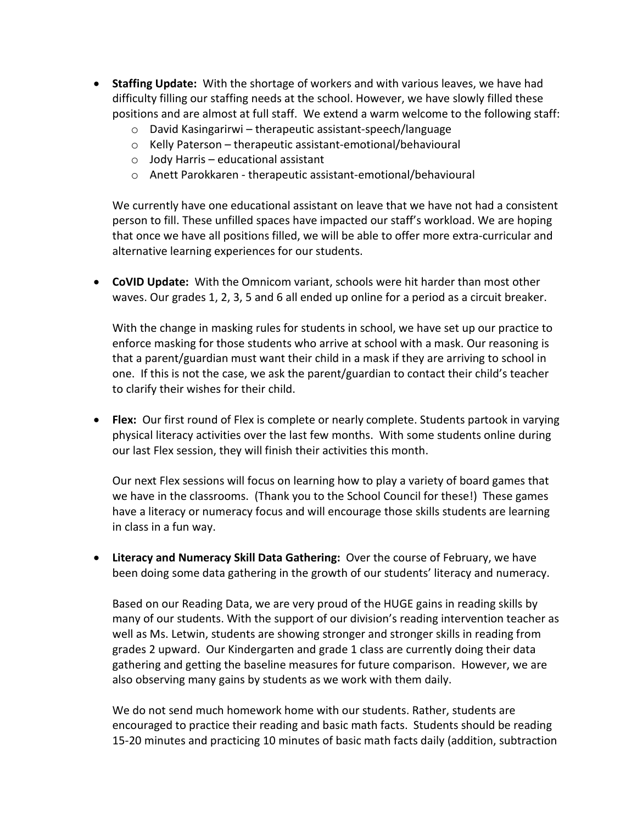- **Staffing Update:** With the shortage of workers and with various leaves, we have had difficulty filling our staffing needs at the school. However, we have slowly filled these positions and are almost at full staff. We extend a warm welcome to the following staff:
	- o David Kasingarirwi therapeutic assistant-speech/language
	- o Kelly Paterson therapeutic assistant-emotional/behavioural
	- $\circ$  Jody Harris educational assistant
	- o Anett Parokkaren therapeutic assistant-emotional/behavioural

We currently have one educational assistant on leave that we have not had a consistent person to fill. These unfilled spaces have impacted our staff's workload. We are hoping that once we have all positions filled, we will be able to offer more extra-curricular and alternative learning experiences for our students.

• **CoVID Update:** With the Omnicom variant, schools were hit harder than most other waves. Our grades 1, 2, 3, 5 and 6 all ended up online for a period as a circuit breaker.

With the change in masking rules for students in school, we have set up our practice to enforce masking for those students who arrive at school with a mask. Our reasoning is that a parent/guardian must want their child in a mask if they are arriving to school in one. If this is not the case, we ask the parent/guardian to contact their child's teacher to clarify their wishes for their child.

• **Flex:** Our first round of Flex is complete or nearly complete. Students partook in varying physical literacy activities over the last few months. With some students online during our last Flex session, they will finish their activities this month.

Our next Flex sessions will focus on learning how to play a variety of board games that we have in the classrooms. (Thank you to the School Council for these!) These games have a literacy or numeracy focus and will encourage those skills students are learning in class in a fun way.

• **Literacy and Numeracy Skill Data Gathering:** Over the course of February, we have been doing some data gathering in the growth of our students' literacy and numeracy.

Based on our Reading Data, we are very proud of the HUGE gains in reading skills by many of our students. With the support of our division's reading intervention teacher as well as Ms. Letwin, students are showing stronger and stronger skills in reading from grades 2 upward. Our Kindergarten and grade 1 class are currently doing their data gathering and getting the baseline measures for future comparison. However, we are also observing many gains by students as we work with them daily.

We do not send much homework home with our students. Rather, students are encouraged to practice their reading and basic math facts. Students should be reading 15-20 minutes and practicing 10 minutes of basic math facts daily (addition, subtraction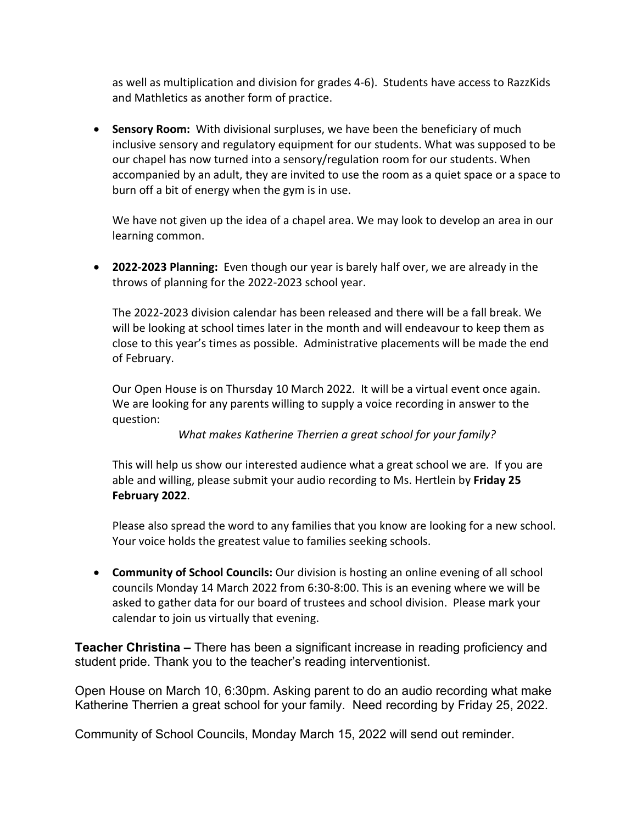as well as multiplication and division for grades 4-6). Students have access to RazzKids and Mathletics as another form of practice.

• **Sensory Room:** With divisional surpluses, we have been the beneficiary of much inclusive sensory and regulatory equipment for our students. What was supposed to be our chapel has now turned into a sensory/regulation room for our students. When accompanied by an adult, they are invited to use the room as a quiet space or a space to burn off a bit of energy when the gym is in use.

We have not given up the idea of a chapel area. We may look to develop an area in our learning common.

• **2022-2023 Planning:** Even though our year is barely half over, we are already in the throws of planning for the 2022-2023 school year.

The 2022-2023 division calendar has been released and there will be a fall break. We will be looking at school times later in the month and will endeavour to keep them as close to this year's times as possible. Administrative placements will be made the end of February.

Our Open House is on Thursday 10 March 2022. It will be a virtual event once again. We are looking for any parents willing to supply a voice recording in answer to the question:

*What makes Katherine Therrien a great school for your family?*

This will help us show our interested audience what a great school we are. If you are able and willing, please submit your audio recording to Ms. Hertlein by **Friday 25 February 2022**.

Please also spread the word to any families that you know are looking for a new school. Your voice holds the greatest value to families seeking schools.

• **Community of School Councils:** Our division is hosting an online evening of all school councils Monday 14 March 2022 from 6:30-8:00. This is an evening where we will be asked to gather data for our board of trustees and school division. Please mark your calendar to join us virtually that evening.

**Teacher Christina –** There has been a significant increase in reading proficiency and student pride. Thank you to the teacher's reading interventionist.

Open House on March 10, 6:30pm. Asking parent to do an audio recording what make Katherine Therrien a great school for your family. Need recording by Friday 25, 2022.

Community of School Councils, Monday March 15, 2022 will send out reminder.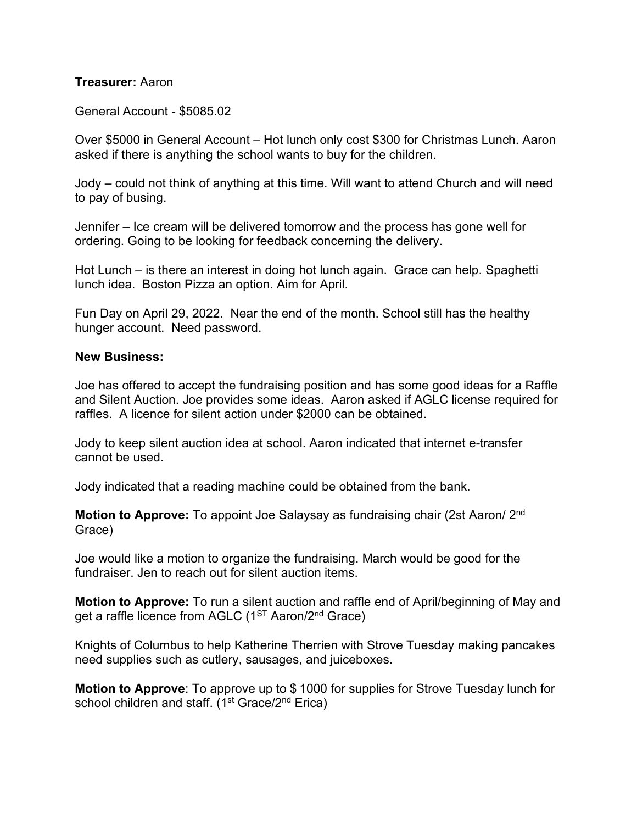#### **Treasurer:** Aaron

General Account - \$5085.02

Over \$5000 in General Account – Hot lunch only cost \$300 for Christmas Lunch. Aaron asked if there is anything the school wants to buy for the children.

Jody – could not think of anything at this time. Will want to attend Church and will need to pay of busing.

Jennifer – Ice cream will be delivered tomorrow and the process has gone well for ordering. Going to be looking for feedback concerning the delivery.

Hot Lunch – is there an interest in doing hot lunch again. Grace can help. Spaghetti lunch idea. Boston Pizza an option. Aim for April.

Fun Day on April 29, 2022. Near the end of the month. School still has the healthy hunger account. Need password.

#### **New Business:**

Joe has offered to accept the fundraising position and has some good ideas for a Raffle and Silent Auction. Joe provides some ideas. Aaron asked if AGLC license required for raffles. A licence for silent action under \$2000 can be obtained.

Jody to keep silent auction idea at school. Aaron indicated that internet e-transfer cannot be used.

Jody indicated that a reading machine could be obtained from the bank.

**Motion to Approve:** To appoint Joe Salaysay as fundraising chair (2st Aaron/ 2nd Grace)

Joe would like a motion to organize the fundraising. March would be good for the fundraiser. Jen to reach out for silent auction items.

**Motion to Approve:** To run a silent auction and raffle end of April/beginning of May and get a raffle licence from AGLC (1<sup>ST</sup> Aaron/2<sup>nd</sup> Grace)

Knights of Columbus to help Katherine Therrien with Strove Tuesday making pancakes need supplies such as cutlery, sausages, and juiceboxes.

**Motion to Approve**: To approve up to \$ 1000 for supplies for Strove Tuesday lunch for school children and staff. (1<sup>st</sup> Grace/2<sup>nd</sup> Erica)